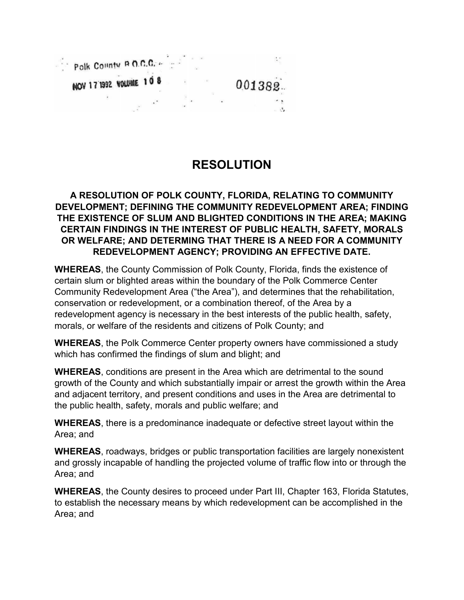

## **RESOLUTION**

## **A RESOLUTION OF POLK COUNTY, FLORIDA, RELATING TO COMMUNITY DEVELOPMENT; DEFINING THE COMMUNITY REDEVELOPMENT AREA; FINDING THE EXISTENCE OF SLUM AND BLIGHTED CONDITIONS IN THE AREA; MAKING CERTAIN FINDINGS IN THE INTEREST OF PUBLIC HEALTH, SAFETY, MORALS OR WELFARE; AND DETERMING THAT THERE IS A NEED FOR A COMMUNITY REDEVELOPMENT AGENCY; PROVIDING AN EFFECTIVE DATE.**

**WHEREAS**, the County Commission of Polk County, Florida, finds the existence of certain slum or blighted areas within the boundary of the Polk Commerce Center Community Redevelopment Area ("the Area"), and determines that the rehabilitation, conservation or redevelopment, or a combination thereof, of the Area by a redevelopment agency is necessary in the best interests of the public health, safety, morals, or welfare of the residents and citizens of Polk County; and

**WHEREAS**, the Polk Commerce Center property owners have commissioned a study which has confirmed the findings of slum and blight; and

**WHEREAS**, conditions are present in the Area which are detrimental to the sound growth of the County and which substantially impair or arrest the growth within the Area and adjacent territory, and present conditions and uses in the Area are detrimental to the public health, safety, morals and public welfare; and

**WHEREAS**, there is a predominance inadequate or defective street layout within the Area; and

**WHEREAS**, roadways, bridges or public transportation facilities are largely nonexistent and grossly incapable of handling the projected volume of traffic flow into or through the Area; and

**WHEREAS**, the County desires to proceed under Part III, Chapter 163, Florida Statutes, to establish the necessary means by which redevelopment can be accomplished in the Area; and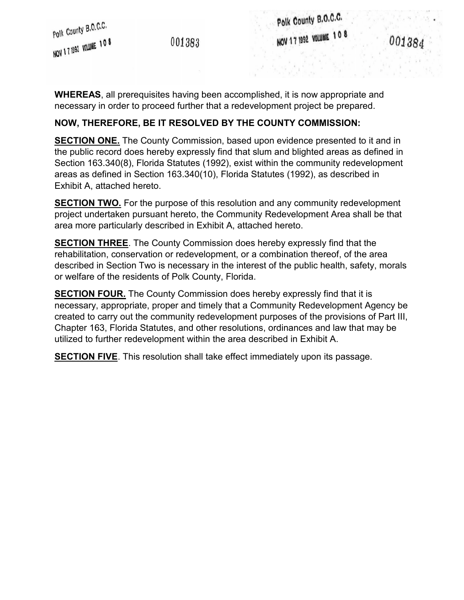001383

Polk County B.O.C.C. NOV 17 1992 VOLUME 108

**WHEREAS**, all prerequisites having been accomplished, it is now appropriate and necessary in order to proceed further that a redevelopment project be prepared.

## **NOW, THEREFORE, BE IT RESOLVED BY THE COUNTY COMMISSION:**

**SECTION ONE.** The County Commission, based upon evidence presented to it and in the public record does hereby expressly find that slum and blighted areas as defined in Section 163.340(8), Florida Statutes (1992), exist within the community redevelopment areas as defined in Section 163.340(10), Florida Statutes (1992), as described in Exhibit A, attached hereto.

**SECTION TWO.** For the purpose of this resolution and any community redevelopment project undertaken pursuant hereto, the Community Redevelopment Area shall be that area more particularly described in Exhibit A, attached hereto.

**SECTION THREE**. The County Commission does hereby expressly find that the rehabilitation, conservation or redevelopment, or a combination thereof, of the area described in Section Two is necessary in the interest of the public health, safety, morals or welfare of the residents of Polk County, Florida.

**SECTION FOUR.** The County Commission does hereby expressly find that it is necessary, appropriate, proper and timely that a Community Redevelopment Agency be created to carry out the community redevelopment purposes of the provisions of Part III, Chapter 163, Florida Statutes, and other resolutions, ordinances and law that may be utilized to further redevelopment within the area described in Exhibit A.

**SECTION FIVE**. This resolution shall take effect immediately upon its passage.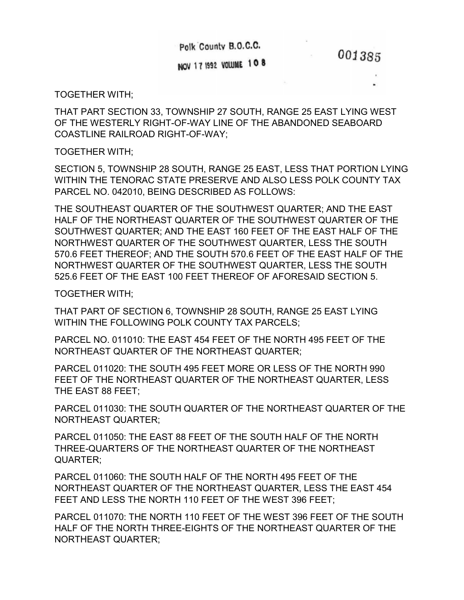Polk County B.O.C.C.

001385

NOV 17 1992 VOLUME 108

TOGETHER WITH;

THAT PART SECTION 33, TOWNSHIP 27 SOUTH, RANGE 25 EAST LYING WEST OF THE WESTERLY RIGHT-OF-WAY LINE OF THE ABANDONED SEABOARD COASTLINE RAILROAD RIGHT-OF-WAY;

TOGETHER WITH;

SECTION 5, TOWNSHIP 28 SOUTH, RANGE 25 EAST, LESS THAT PORTION LYING WITHIN THE TENORAC STATE PRESERVE AND ALSO LESS POLK COUNTY TAX PARCEL NO. 042010, BEING DESCRIBED AS FOLLOWS:

THE SOUTHEAST QUARTER OF THE SOUTHWEST QUARTER; AND THE EAST HALF OF THE NORTHEAST QUARTER OF THE SOUTHWEST QUARTER OF THE SOUTHWEST QUARTER; AND THE EAST 160 FEET OF THE EAST HALF OF THE NORTHWEST QUARTER OF THE SOUTHWEST QUARTER, LESS THE SOUTH 570.6 FEET THEREOF; AND THE SOUTH 570.6 FEET OF THE EAST HALF OF THE NORTHWEST QUARTER OF THE SOUTHWEST QUARTER, LESS THE SOUTH 525.6 FEET OF THE EAST 100 FEET THEREOF OF AFORESAID SECTION 5.

TOGETHER WITH;

THAT PART OF SECTION 6, TOWNSHIP 28 SOUTH, RANGE 25 EAST LYING WITHIN THE FOLLOWING POLK COUNTY TAX PARCELS;

PARCEL NO. 011010: THE EAST 454 FEET OF THE NORTH 495 FEET OF THE NORTHEAST QUARTER OF THE NORTHEAST QUARTER;

PARCEL 011020: THE SOUTH 495 FEET MORE OR LESS OF THE NORTH 990 FEET OF THE NORTHEAST QUARTER OF THE NORTHEAST QUARTER, LESS THE EAST 88 FEET;

PARCEL 011030: THE SOUTH QUARTER OF THE NORTHEAST QUARTER OF THE NORTHEAST QUARTER;

PARCEL 011050: THE EAST 88 FEET OF THE SOUTH HALF OF THE NORTH THREE-QUARTERS OF THE NORTHEAST QUARTER OF THE NORTHEAST QUARTER;

PARCEL 011060: THE SOUTH HALF OF THE NORTH 495 FEET OF THE NORTHEAST QUARTER OF THE NORTHEAST QUARTER, LESS THE EAST 454 FEET AND LESS THE NORTH 110 FEET OF THE WEST 396 FEET;

PARCEL 011070: THE NORTH 110 FEET OF THE WEST 396 FEET OF THE SOUTH HALF OF THE NORTH THREE-EIGHTS OF THE NORTHEAST QUARTER OF THE NORTHEAST QUARTER;